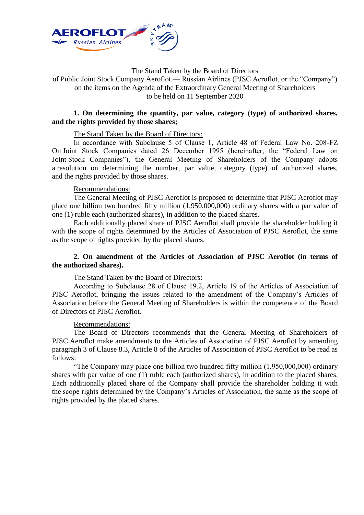

The Stand Taken by the Board of Directors

of Public Joint Stock Company Aeroflot — Russian Airlines (PJSC Aeroflot, or the "Company") on the items on the Agenda of the Extraordinary General Meeting of Shareholders to be held on 11 September 2020

# **1. On determining the quantity, par value, category (type) of authorized shares, and the rights provided by those shares;**

# The Stand Taken by the Board of Directors:

In accordance with Subclause 5 of Сlause 1, Article 48 of Federal Law No. 208-FZ On Joint Stock Companies dated 26 December 1995 (hereinafter, the "Federal Law on Joint Stock Companies"), the General Meeting of Shareholders of the Company adopts a resolution on determining the number, par value, category (type) of authorized shares, and the rights provided by those shares.

## Recommendations:

The General Meeting of PJSC Aeroflot is proposed to determine that PJSC Aeroflot may place one billion two hundred fifty million (1,950,000,000) ordinary shares with a par value of one (1) ruble each (authorized shares), in addition to the placed shares.

Each additionally placed share of PJSC Aeroflot shall provide the shareholder holding it with the scope of rights determined by the Articles of Association of PJSC Aeroflot, the same as the scope of rights provided by the placed shares.

# **2. On amendment of the Articles of Association of PJSC Aeroflot (in terms of the authorized shares).**

## The Stand Taken by the Board of Directors:

According to Subclause 28 of Сlause 19.2, Article 19 of the Articles of Association of PJSC Aeroflot, bringing the issues related to the amendment of the Company's Articles of Association before the General Meeting of Shareholders is within the competence of the Board of Directors of PJSC Aeroflot.

## Recommendations:

The Board of Directors recommends that the General Meeting of Shareholders of PJSC Aeroflot make amendments to the Articles of Association of PJSC Aeroflot by amending paragraph 3 of Clause 8.3, Article 8 of the Articles of Association of PJSC Aeroflot to be read as follows:

"The Company may place one billion two hundred fifty million (1,950,000,000) ordinary shares with par value of one (1) ruble each (authorized shares), in addition to the placed shares. Each additionally placed share of the Company shall provide the shareholder holding it with the scope rights determined by the Company's Articles of Association, the same as the scope of rights provided by the placed shares.